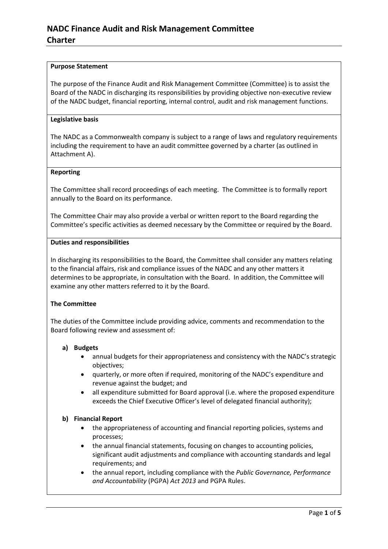#### **Purpose Statement**

The purpose of the Finance Audit and Risk Management Committee (Committee) is to assist the Board of the NADC in discharging its responsibilities by providing objective non-executive review of the NADC budget, financial reporting, internal control, audit and risk management functions.

#### **Legislative basis**

The NADC as a Commonwealth company is subject to a range of laws and regulatory requirements including the requirement to have an audit committee governed by a charter (as outlined in Attachment A).

#### **Reporting**

The Committee shall record proceedings of each meeting. The Committee is to formally report annually to the Board on its performance.

The Committee Chair may also provide a verbal or written report to the Board regarding the Committee's specific activities as deemed necessary by the Committee or required by the Board.

#### **Duties and responsibilities**

In discharging its responsibilities to the Board, the Committee shall consider any matters relating to the financial affairs, risk and compliance issues of the NADC and any other matters it determines to be appropriate, in consultation with the Board. In addition, the Committee will examine any other matters referred to it by the Board.

#### **The Committee**

The duties of the Committee include providing advice, comments and recommendation to the Board following review and assessment of:

#### **a) Budgets**

- annual budgets for their appropriateness and consistency with the NADC's strategic objectives;
- quarterly, or more often if required, monitoring of the NADC's expenditure and revenue against the budget; and
- all expenditure submitted for Board approval (i.e. where the proposed expenditure exceeds the Chief Executive Officer's level of delegated financial authority);

#### **b) Financial Report**

- the appropriateness of accounting and financial reporting policies, systems and processes;
- the annual financial statements, focusing on changes to accounting policies, significant audit adjustments and compliance with accounting standards and legal requirements; and
- the annual report, including compliance with the *Public Governance, Performance and Accountability* (PGPA) *Act 2013* and PGPA Rules.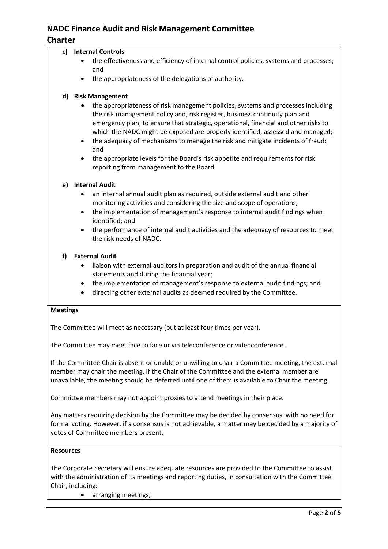# **NADC Finance Audit and Risk Management Committee**

# **Charter**

# **c) Internal Controls**

- the effectiveness and efficiency of internal control policies, systems and processes; and
- the appropriateness of the delegations of authority.

# **d) Risk Management**

- the appropriateness of risk management policies, systems and processes including the risk management policy and, risk register, business continuity plan and emergency plan, to ensure that strategic, operational, financial and other risks to which the NADC might be exposed are properly identified, assessed and managed;
- the adequacy of mechanisms to manage the risk and mitigate incidents of fraud; and
- the appropriate levels for the Board's risk appetite and requirements for risk reporting from management to the Board.

# **e) Internal Audit**

- an internal annual audit plan as required, outside external audit and other monitoring activities and considering the size and scope of operations;
- the implementation of management's response to internal audit findings when identified; and
- the performance of internal audit activities and the adequacy of resources to meet the risk needs of NADC.

## **f) External Audit**

- liaison with external auditors in preparation and audit of the annual financial statements and during the financial year;
- the implementation of management's response to external audit findings; and
- directing other external audits as deemed required by the Committee.

#### **Meetings**

The Committee will meet as necessary (but at least four times per year).

The Committee may meet face to face or via teleconference or videoconference.

If the Committee Chair is absent or unable or unwilling to chair a Committee meeting, the external member may chair the meeting. If the Chair of the Committee and the external member are unavailable, the meeting should be deferred until one of them is available to Chair the meeting.

Committee members may not appoint proxies to attend meetings in their place.

Any matters requiring decision by the Committee may be decided by consensus, with no need for formal voting. However, if a consensus is not achievable, a matter may be decided by a majority of votes of Committee members present.

#### **Resources**

The Corporate Secretary will ensure adequate resources are provided to the Committee to assist with the administration of its meetings and reporting duties, in consultation with the Committee Chair, including:

• arranging meetings;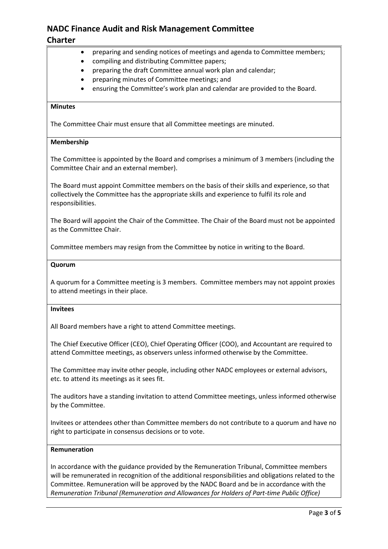# **NADC Finance Audit and Risk Management Committee**

# **Charter**

- preparing and sending notices of meetings and agenda to Committee members;
- compiling and distributing Committee papers;
- preparing the draft Committee annual work plan and calendar;
- preparing minutes of Committee meetings; and
- ensuring the Committee's work plan and calendar are provided to the Board.

## **Minutes**

The Committee Chair must ensure that all Committee meetings are minuted.

#### **Membership**

The Committee is appointed by the Board and comprises a minimum of 3 members (including the Committee Chair and an external member).

The Board must appoint Committee members on the basis of their skills and experience, so that collectively the Committee has the appropriate skills and experience to fulfil its role and responsibilities.

The Board will appoint the Chair of the Committee. The Chair of the Board must not be appointed as the Committee Chair.

Committee members may resign from the Committee by notice in writing to the Board.

#### **Quorum**

A quorum for a Committee meeting is 3 members. Committee members may not appoint proxies to attend meetings in their place.

#### **Invitees**

All Board members have a right to attend Committee meetings.

The Chief Executive Officer (CEO), Chief Operating Officer (COO), and Accountant are required to attend Committee meetings, as observers unless informed otherwise by the Committee.

The Committee may invite other people, including other NADC employees or external advisors, etc. to attend its meetings as it sees fit.

The auditors have a standing invitation to attend Committee meetings, unless informed otherwise by the Committee.

Invitees or attendees other than Committee members do not contribute to a quorum and have no right to participate in consensus decisions or to vote.

#### **Remuneration**

In accordance with the guidance provided by the Remuneration Tribunal, Committee members will be remunerated in recognition of the additional responsibilities and obligations related to the Committee. Remuneration will be approved by the NADC Board and be in accordance with the *Remuneration Tribunal (Remuneration and Allowances for Holders of Part-time Public Office)*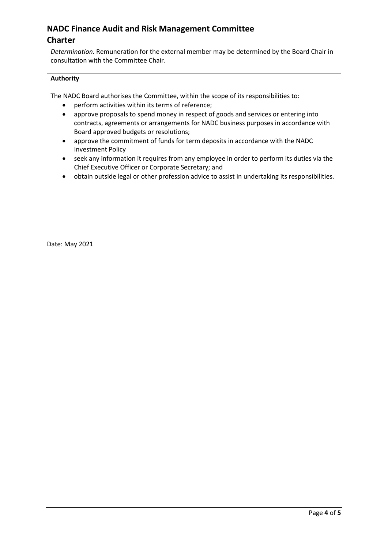# **NADC Finance Audit and Risk Management Committee Charter**

*Determination.* Remuneration for the external member may be determined by the Board Chair in consultation with the Committee Chair.

### **Authority**

The NADC Board authorises the Committee, within the scope of its responsibilities to:

- perform activities within its terms of reference;
- approve proposals to spend money in respect of goods and services or entering into contracts, agreements or arrangements for NADC business purposes in accordance with Board approved budgets or resolutions;
- approve the commitment of funds for term deposits in accordance with the NADC Investment Policy
- seek any information it requires from any employee in order to perform its duties via the Chief Executive Officer or Corporate Secretary; and
- obtain outside legal or other profession advice to assist in undertaking its responsibilities.

Date: May 2021